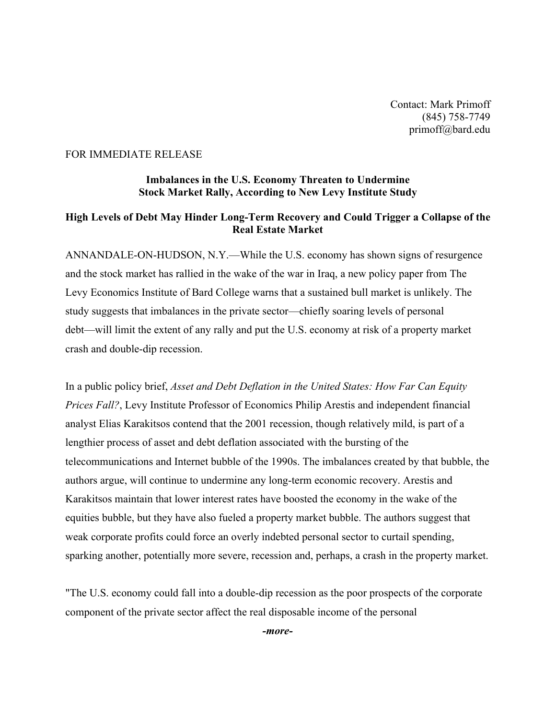## FOR IMMEDIATE RELEASE

## **Imbalances in the U.S. Economy Threaten to Undermine Stock Market Rally, According to New Levy Institute Study**

## **High Levels of Debt May Hinder Long-Term Recovery and Could Trigger a Collapse of the Real Estate Market**

ANNANDALE-ON-HUDSON, N.Y.—While the U.S. economy has shown signs of resurgence and the stock market has rallied in the wake of the war in Iraq, a new policy paper from The Levy Economics Institute of Bard College warns that a sustained bull market is unlikely. The study suggests that imbalances in the private sector—chiefly soaring levels of personal debt—will limit the extent of any rally and put the U.S. economy at risk of a property market crash and double-dip recession.

In a public policy brief, *Asset and Debt Deflation in the United States: How Far Can Equity Prices Fall?*, Levy Institute Professor of Economics Philip Arestis and independent financial analyst Elias Karakitsos contend that the 2001 recession, though relatively mild, is part of a lengthier process of asset and debt deflation associated with the bursting of the telecommunications and Internet bubble of the 1990s. The imbalances created by that bubble, the authors argue, will continue to undermine any long-term economic recovery. Arestis and Karakitsos maintain that lower interest rates have boosted the economy in the wake of the equities bubble, but they have also fueled a property market bubble. The authors suggest that weak corporate profits could force an overly indebted personal sector to curtail spending, sparking another, potentially more severe, recession and, perhaps, a crash in the property market.

"The U.S. economy could fall into a double-dip recession as the poor prospects of the corporate component of the private sector affect the real disposable income of the personal

*-more-*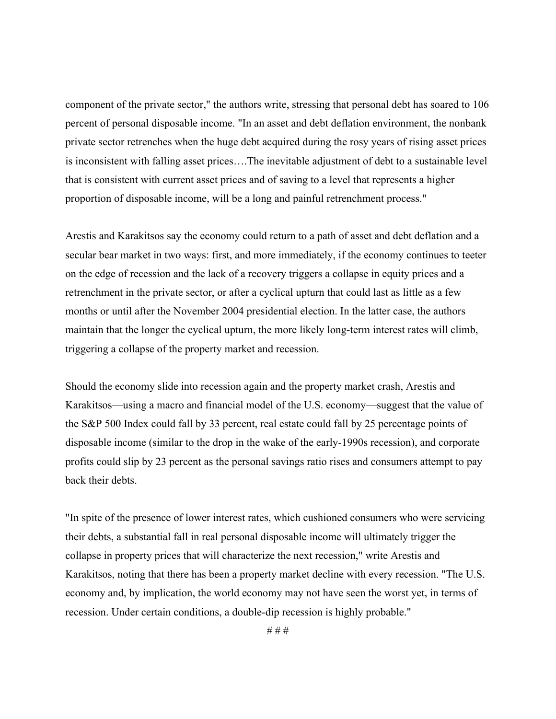component of the private sector," the authors write, stressing that personal debt has soared to 106 percent of personal disposable income. "In an asset and debt deflation environment, the nonbank private sector retrenches when the huge debt acquired during the rosy years of rising asset prices is inconsistent with falling asset prices….The inevitable adjustment of debt to a sustainable level that is consistent with current asset prices and of saving to a level that represents a higher proportion of disposable income, will be a long and painful retrenchment process."

Arestis and Karakitsos say the economy could return to a path of asset and debt deflation and a secular bear market in two ways: first, and more immediately, if the economy continues to teeter on the edge of recession and the lack of a recovery triggers a collapse in equity prices and a retrenchment in the private sector, or after a cyclical upturn that could last as little as a few months or until after the November 2004 presidential election. In the latter case, the authors maintain that the longer the cyclical upturn, the more likely long-term interest rates will climb, triggering a collapse of the property market and recession.

Should the economy slide into recession again and the property market crash, Arestis and Karakitsos—using a macro and financial model of the U.S. economy—suggest that the value of the S&P 500 Index could fall by 33 percent, real estate could fall by 25 percentage points of disposable income (similar to the drop in the wake of the early-1990s recession), and corporate profits could slip by 23 percent as the personal savings ratio rises and consumers attempt to pay back their debts.

"In spite of the presence of lower interest rates, which cushioned consumers who were servicing their debts, a substantial fall in real personal disposable income will ultimately trigger the collapse in property prices that will characterize the next recession," write Arestis and Karakitsos, noting that there has been a property market decline with every recession. "The U.S. economy and, by implication, the world economy may not have seen the worst yet, in terms of recession. Under certain conditions, a double-dip recession is highly probable."